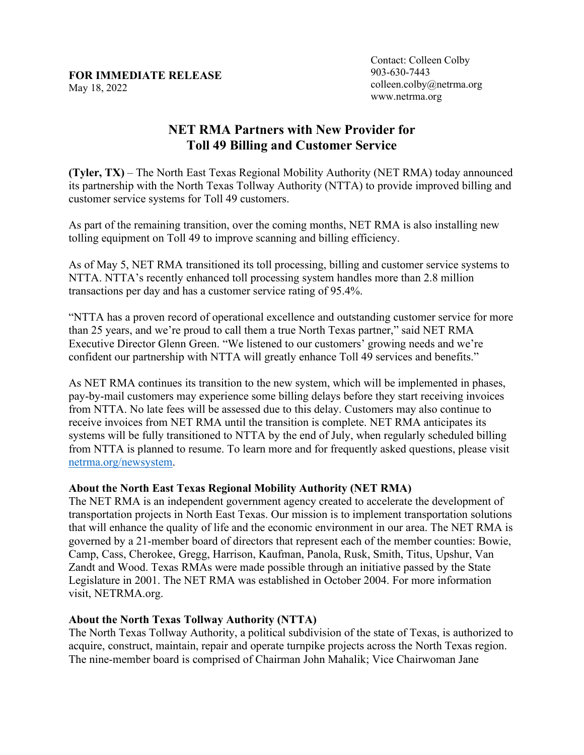## **FOR IMMEDIATE RELEASE**  May 18, 2022

Contact: Colleen Colby 903-630-7443 colleen.colby@netrma.org www.netrma.org

## **NET RMA Partners with New Provider for Toll 49 Billing and Customer Service**

**(Tyler, TX)** – The North East Texas Regional Mobility Authority (NET RMA) today announced its partnership with the North Texas Tollway Authority (NTTA) to provide improved billing and customer service systems for Toll 49 customers.

As part of the remaining transition, over the coming months, NET RMA is also installing new tolling equipment on Toll 49 to improve scanning and billing efficiency.

As of May 5, NET RMA transitioned its toll processing, billing and customer service systems to NTTA. NTTA's recently enhanced toll processing system handles more than 2.8 million transactions per day and has a customer service rating of 95.4%.

"NTTA has a proven record of operational excellence and outstanding customer service for more than 25 years, and we're proud to call them a true North Texas partner," said NET RMA Executive Director Glenn Green. "We listened to our customers' growing needs and we're confident our partnership with NTTA will greatly enhance Toll 49 services and benefits."

As NET RMA continues its transition to the new system, which will be implemented in phases, pay-by-mail customers may experience some billing delays before they start receiving invoices from NTTA. No late fees will be assessed due to this delay. Customers may also continue to receive invoices from NET RMA until the transition is complete. NET RMA anticipates its systems will be fully transitioned to NTTA by the end of July, when regularly scheduled billing from NTTA is planned to resume. To learn more and for frequently asked questions, please visit [netrma.org/newsystem.](http://netrma.org/newsystem)

## **About the North East Texas Regional Mobility Authority (NET RMA)**

The NET RMA is an independent government agency created to accelerate the development of transportation projects in North East Texas. Our mission is to implement transportation solutions that will enhance the quality of life and the economic environment in our area. The NET RMA is governed by a 21-member board of directors that represent each of the member counties: Bowie, Camp, Cass, Cherokee, Gregg, Harrison, Kaufman, Panola, Rusk, Smith, Titus, Upshur, Van Zandt and Wood. Texas RMAs were made possible through an initiative passed by the State Legislature in 2001. The NET RMA was established in October 2004. For more information visit, NETRMA.org.

## **About the North Texas Tollway Authority (NTTA)**

The North Texas Tollway Authority, a political subdivision of the state of Texas, is authorized to acquire, construct, maintain, repair and operate turnpike projects across the North Texas region. The nine-member board is comprised of Chairman John Mahalik; Vice Chairwoman Jane